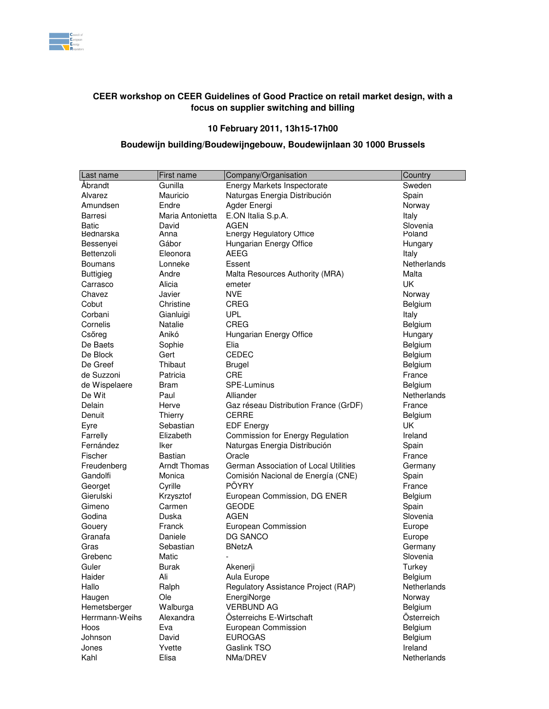

## **CEER workshop on CEER Guidelines of Good Practice on retail market design, with a focus on supplier switching and billing**

## **10 February 2011, 13h15-17h00**

## **Boudewijn building/Boudewijngebouw, Boudewijnlaan 30 1000 Brussels**

| Last name             | First name           | Company/Organisation                        | Country                |
|-----------------------|----------------------|---------------------------------------------|------------------------|
| Åbrandt               | Gunilla              | Energy Markets Inspectorate                 | Sweden                 |
| Alvarez               | Mauricio             | Naturgas Energia Distribución               | Spain                  |
| Amundsen              | Endre                | Agder Energi                                | Norway                 |
| Barresi               | Maria Antonietta     | E.ON Italia S.p.A.                          | Italy                  |
| <b>Batic</b>          | David                | <b>AGEN</b>                                 | Slovenia               |
| Bednarska             | Anna                 | <b>Energy Regulatory Office</b>             | Poland                 |
| Bessenyei             | Gábor                | Hungarian Energy Office                     | Hungary                |
| Bettenzoli            | Eleonora             | AEEG                                        | Italy                  |
| <b>Boumans</b>        | Lonneke              | Essent                                      | Netherlands            |
| <b>Buttigieg</b>      | Andre                | Malta Resources Authority (MRA)             | Malta                  |
| Carrasco              | Alicia               | emeter                                      | UK                     |
| Chavez                | Javier               | <b>NVE</b>                                  | Norway                 |
| Cobut                 | Christine            | <b>CREG</b>                                 | <b>Belgium</b>         |
| Corbani               | Gianluigi            | <b>UPL</b>                                  | Italy                  |
| Cornelis              | Natalie              | <b>CREG</b>                                 | Belgium                |
| Csőreg                | Anikó                | Hungarian Energy Office                     | Hungary                |
| De Baets              | Sophie               | Elia                                        | Belgium                |
| De Block              | Gert                 | <b>CEDEC</b>                                | Belgium                |
| De Greef              | Thibaut              | <b>Brugel</b>                               | Belgium                |
| de Suzzoni            | Patricia             | <b>CRE</b>                                  | France                 |
| de Wispelaere         |                      | SPE-Luminus                                 |                        |
| De Wit                | Bram<br>Paul         | Alliander                                   | Belgium<br>Netherlands |
| Delain                | Herve                | Gaz réseau Distribution France (GrDF)       |                        |
| Denuit                |                      | <b>CERRE</b>                                | France                 |
|                       | Thierry<br>Sebastian |                                             | <b>Belgium</b><br>UK   |
| Eyre                  | Elizabeth            | <b>EDF Energy</b>                           | Ireland                |
| Farrelly<br>Fernández |                      | Commission for Energy Regulation            |                        |
|                       | Iker                 | Naturgas Energia Distribución               | Spain                  |
| Fischer               | <b>Bastian</b>       | Oracle                                      | France                 |
| Freudenberg           | <b>Arndt Thomas</b>  | German Association of Local Utilities       | Germany                |
| Gandolfi              | Monica               | Comisión Nacional de Energía (CNE)<br>PÖYRY | Spain                  |
| Georget               | Cyrille              |                                             | France                 |
| Gierulski             | Krzysztof            | European Commission, DG ENER                | Belgium                |
| Gimeno                | Carmen               | <b>GEODE</b>                                | Spain                  |
| Godina                | Duska                | <b>AGEN</b>                                 | Slovenia               |
| Gouery                | Franck               | European Commission                         | Europe                 |
| Granafa               | Daniele              | DG SANCO                                    | Europe                 |
| Gras                  | Sebastian            | <b>BNetzA</b>                               | Germany                |
| Grebenc               | Matic                |                                             | Slovenia               |
| Guler                 | Burak                | Akenerji                                    | Turkey                 |
| Haider                | Ali                  | Aula Europe                                 | Belgium                |
| Hallo                 | Ralph                | Regulatory Assistance Project (RAP)         | Netherlands            |
| Haugen                | Ole                  | EnergiNorge                                 | Norway                 |
| Hemetsberger          | Walburga             | <b>VERBUND AG</b>                           | Belgium                |
| Herrmann-Weihs        | Alexandra            | Österreichs E-Wirtschaft                    | Österreich             |
| Hoos                  | Eva                  | European Commission                         | Belgium                |
| Johnson               | David                | <b>EUROGAS</b>                              | Belgium                |
| Jones                 | Yvette               | Gaslink TSO                                 | Ireland                |
| Kahl                  | Elisa                | NMa/DREV                                    | Netherlands            |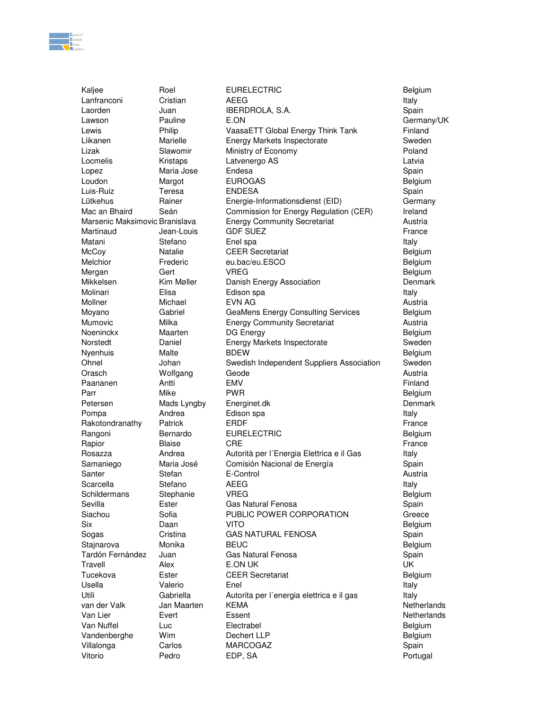

Kaljee Roel Belgium Roel EURELECTRIC

Lanfranconi Cristian AEEG Italy Laorden Juan IBERDROLA, S.A. Spain Lawson **Pauline E.ON E.ON CON Germany/UK** Lewis **Philip Contained Philip VaasaETT Global Energy Think Tank** Finland Liikanen Marielle Energy Markets Inspectorate Sweden Lizak Slawomir Ministry of Economy Poland Locmelis Kristaps Latvenergo AS Latvia Lopez **Maria Jose** Endesa **Spain** Spain Loudon Margot EUROGAS **Belgium** Luis-Ruiz Teresa ENDESA Spain Lütkehus Rainer Energie-Informationsdienst (EID) Germany Mac an Bhaird Seán Commission for Energy Regulation (CER) Ireland Marsenic Maksimovic Branislava Energy Community Secretariat Funchional Austria Martinaud Jean-Louis GDF SUEZ **France** France Matani Stefano Enel spa Italy McCoy Natalie CEER Secretariat CEER Secretariat Melchior Frederic eu.bac/eu.ESCO **Belgium** Mergan Gert VREG Belgium Mikkelsen Kim Møller Danish Energy Association Denmark Molinari Elisa Edison spa Italy Mollner Michael EVN AG Austria Moyano Gabriel GeaMens Energy Consulting Services Belgium Mumovic Milka Energy Community Secretariat Austria Noeninckx Maarten DG Energy **Belgium** Belgium Norstedt Daniel Energy Markets Inspectorate Sweden Nyenhuis Malte BDEW Belgium Ohnel Johan Swedish Independent Suppliers Association Sweden Orasch Wolfgang Geode Austria Paananen Antti EMV Finland Parr Mike PWR Belgium Petersen Mads Lyngby Energinet.dk Denmark Denmark Pompa **Andrea** Edison spa **Italy** Andrea Edison spa Italy Rakotondranathy Patrick ERDF ERDF ERDT France Rangoni Bernardo EURELECTRIC **Belgium** Belgium Rapior Blaise CRE France Rosazza **Andrea** Autorità per l'Energia Elettrica e il Gas Italy Samaniego Maria José Comisión Nacional de Energía Chastella Spain Santer **Stefan** E-Control **E-Control E-Control E-Control E-Control E-Control** Scarcella Stefano AEEG Italy Schildermans Stephanie VREG Belgium Sevilla **Ester Gas Natural Fenosa** Controller Spain Siachou **Sofia** PUBLIC POWER CORPORATION Greece Six Daan VITO Belgium Sogas Cristina GAS NATURAL FENOSA Spain Stajnarova Monika BEUC Belgium Tardón Fernández Juan Gas Natural Fenosa Spain Travell Alex E.ON UK UK Tucekova Ester CEER Secretariat Belgium Usella Valerio Enel Italy Utili Cabriella Autorita per l'energia elettrica e il gas Italy van der Valk Jan Maarten KEMA Netherlands Netherlands Van Lier **Evert** Essent Essent **Netherlands** Van Nuffel Luc Electrabel Belgium Vandenberghe Wim Dechert LLP **Belgium** Belgium Villalonga Carlos MARCOGAZ **Spain** Vitorio Pedro EDP, SA Portugal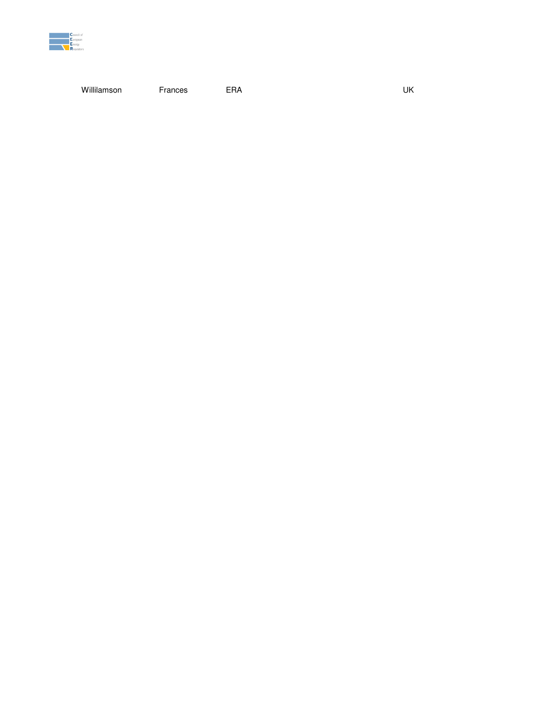

Willilamson Frances

ERA

UK